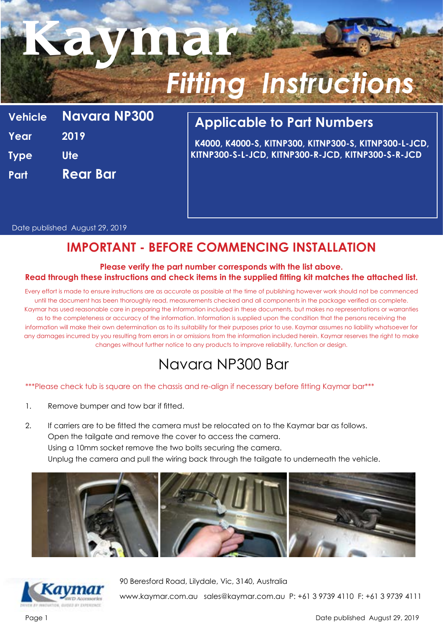# **Kaymar** *Fitting Instructions*

**Vehicle Navara NP300 Year 2019 Type Ute Part Rear Bar**

## **Applicable to Part Numbers**

**K4000, K4000-S, KITNP300, KITNP300-S, KITNP300-L-JCD, KITNP300-S-L-JCD, KITNP300-R-JCD, KITNP300-S-R-JCD**

Date published August 29, 2019

## **IMPORTANT - BEFORE COMMENCING INSTALLATION**

#### **Please verify the part number corresponds with the list above. Read through these instructions and check items in the supplied fitting kit matches the attached list.**

Every effort is made to ensure instructions are as accurate as possible at the time of publishing however work should not be commenced until the document has been thoroughly read, measurements checked and all components in the package verified as complete. Kaymar has used reasonable care in preparing the information included in these documents, but makes no representations or warranties as to the completeness or accuracy of the information. Information is supplied upon the condition that the persons receiving the information will make their own determination as to its suitability for their purposes prior to use. Kaymar assumes no liability whatsoever for any damages incurred by you resulting from errors in or omissions from the information included herein. Kaymar reserves the right to make changes without further notice to any products to improve reliability, function or design.

# Navara NP300 Bar

#### \*\*\*Please check tub is square on the chassis and re-align if necessary before fitting Kaymar bar\*\*\*

- 1. Remove bumper and tow bar if fitted.
- 2. If carriers are to be fitted the camera must be relocated on to the Kaymar bar as follows. Open the tailgate and remove the cover to access the camera. Using a 10mm socket remove the two bolts securing the camera. Unplug the camera and pull the wiring back through the tailgate to underneath the vehicle.





90 Beresford Road, Lilydale, Vic, 3140, Australia

www.kaymar.com.au sales@kaymar.com.au P: +61 3 9739 4110 F: +61 3 9739 4111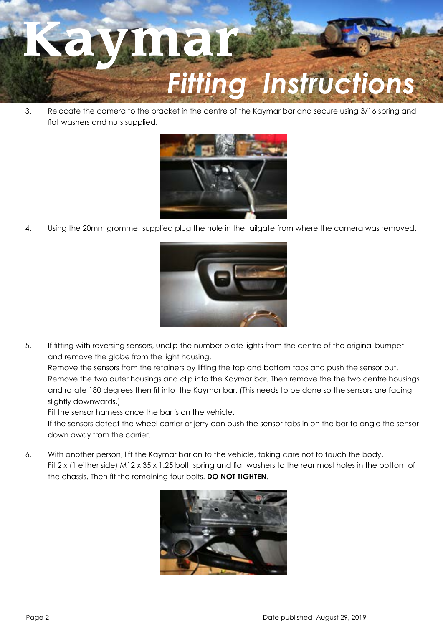

3. Relocate the camera to the bracket in the centre of the Kaymar bar and secure using 3/16 spring and flat washers and nuts supplied.



4. Using the 20mm grommet supplied plug the hole in the tailgate from where the camera was removed.



5. If fitting with reversing sensors, unclip the number plate lights from the centre of the original bumper and remove the globe from the light housing.

Remove the sensors from the retainers by lifting the top and bottom tabs and push the sensor out. Remove the two outer housings and clip into the Kaymar bar. Then remove the the two centre housings and rotate 180 degrees then fit into the Kaymar bar. (This needs to be done so the sensors are facing slightly downwards.)

Fit the sensor harness once the bar is on the vehicle.

If the sensors detect the wheel carrier or jerry can push the sensor tabs in on the bar to angle the sensor down away from the carrier.

6. With another person, lift the Kaymar bar on to the vehicle, taking care not to touch the body. Fit 2 x (1 either side) M12 x 35 x 1.25 bolt, spring and flat washers to the rear most holes in the bottom of the chassis. Then fit the remaining four bolts. **DO NOT TIGHTEN**.

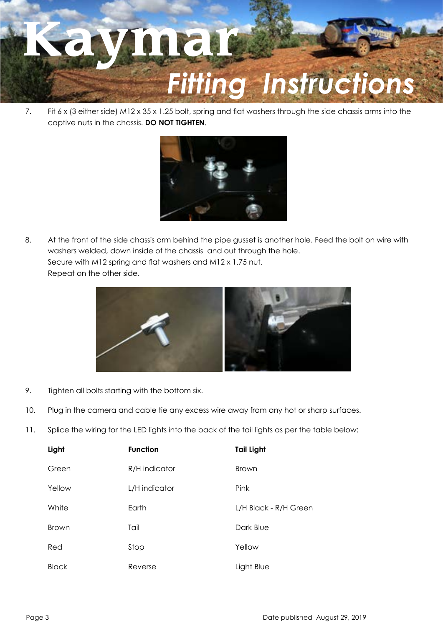

7. Fit 6 x (3 either side) M12 x 35 x 1.25 bolt, spring and flat washers through the side chassis arms into the captive nuts in the chassis. **DO NOT TIGHTEN**.



8. At the front of the side chassis arm behind the pipe gusset is another hole. Feed the bolt on wire with washers welded, down inside of the chassis and out through the hole. Secure with M12 spring and flat washers and M12 x 1.75 nut. Repeat on the other side.



- 9. Tighten all bolts starting with the bottom six.
- 10. Plug in the camera and cable tie any excess wire away from any hot or sharp surfaces.
- 11. Splice the wiring for the LED lights into the back of the tail lights as per the table below:

| Light        | <b>Function</b> | <b>Tail Light</b>     |
|--------------|-----------------|-----------------------|
| Green        | R/H indicator   | <b>Brown</b>          |
| Yellow       | L/H indicator   | Pink                  |
| White        | Earth           | L/H Black - R/H Green |
| <b>Brown</b> | Tail            | Dark Blue             |
| Red          | Stop            | Yellow                |
| <b>Black</b> | Reverse         | Light Blue            |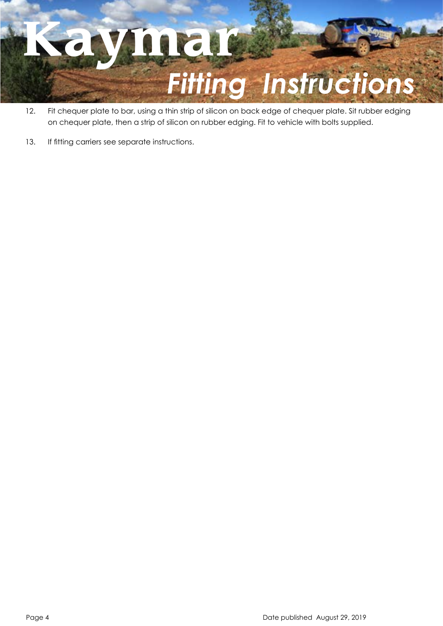

- 12. Fit chequer plate to bar, using a thin strip of silicon on back edge of chequer plate. Sit rubber edging on chequer plate, then a strip of silicon on rubber edging. Fit to vehicle with bolts supplied.
- 13. If fitting carriers see separate instructions.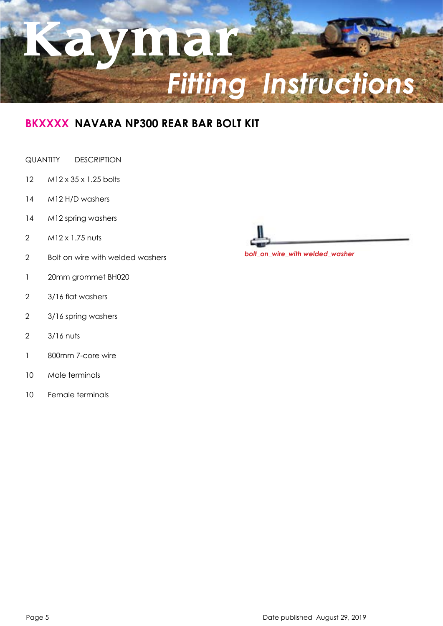

### **BKXXXX NAVARA NP300 REAR BAR BOLT KIT**

#### QUANTITY DESCRIPTION

- M12 x 35 x 1.25 bolts
- M12 H/D washers
- M12 spring washers
- M12 x 1.75 nuts
- Bolt on wire with welded washers
- 20mm grommet BH020
- 3/16 flat washers
- 3/16 spring washers
- 3/16 nuts
- 800mm 7-core wire
- Male terminals
- Female terminals



*bolt\_on\_wire\_with welded\_washer*